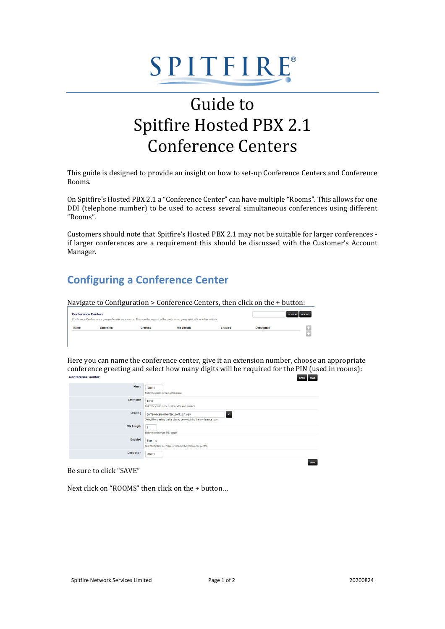# SPITFIRE®

## Guide to Spitfire Hosted PBX 2.1 Conference Centers

This guide is designed to provide an insight on how to set-up Conference Centers and Conference Rooms.

On Spitfire's Hosted PBX 2.1 a "Conference Center" can have multiple "Rooms". This allows for one DDI (telephone number) to be used to access several simultaneous conferences using different "Rooms".

Customers should note that Spitfire's Hosted PBX 2.1 may not be suitable for larger conferences if larger conferences are a requirement this should be discussed with the Customer's Account Manager.

#### **Configuring a Conference Center**

Navigate to Configuration > Conference Centers, then click on the + button:

| <b>Conference Centers</b><br>Conference Centers are a group of conference rooms. They can be organized by cost center, geographically, or other criteria. |                  |          |                   |         |                    | SEARCH ROOMS |
|-----------------------------------------------------------------------------------------------------------------------------------------------------------|------------------|----------|-------------------|---------|--------------------|--------------|
|                                                                                                                                                           |                  |          |                   |         |                    |              |
| <b>Name</b>                                                                                                                                               | <b>Extension</b> | Greeting | <b>PIN Length</b> | Enabled | <b>Description</b> | п.<br>m      |

Here you can name the conference center, give it an extension number, choose an appropriate conference greeting and select how many digits will be required for the PIN (used in rooms):<br>Conference Center BACK SAVE

| Name               | Conf 1<br>Enter the conference center name.                                                                       |
|--------------------|-------------------------------------------------------------------------------------------------------------------|
| <b>Extension</b>   | 4000<br>Enter the conference center extension number.                                                             |
| Greeting           | conference/conf-enter_conf_pin.wav<br>◀<br>Select the greeting that is played before joining the conference room. |
| <b>PIN Length</b>  | $\overline{4}$<br>Enter the minimum PIN length.                                                                   |
| Enabled            | True $\sim$<br>Select whether to enable or disable the conference center.                                         |
| <b>Description</b> | Conf 1                                                                                                            |
|                    | SAVE                                                                                                              |

Be sure to click "SAVE"

Next click on "ROOMS" then click on the + button…